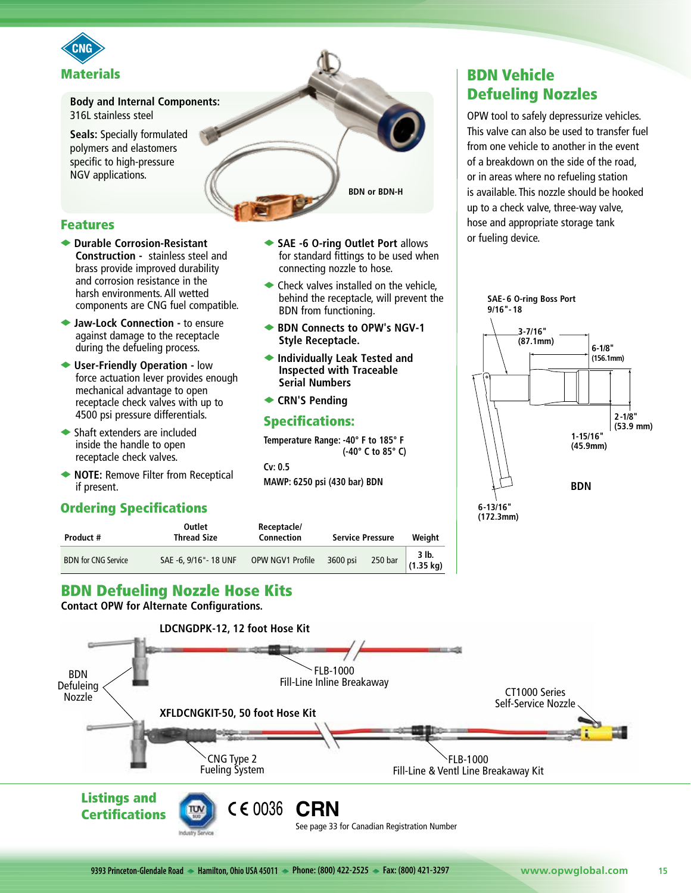

**Body and Internal Components:** 316L stainless steel

**Seals:** Specially formulated polymers and elastomers specific to high-pressure NGV applications.

#### **BDN or BDN-H**

#### Features

- ◆ Durable Corrosion-Resistant **Construction -** stainless steel and brass provide improved durability and corrosion resistance in the harsh environments. All wetted components are CNG fuel compatible.
- ◆ Jaw-Lock Connection to ensure against damage to the receptacle during the defueling process.
- ◆ User-Friendly Operation low force actuation lever provides enough mechanical advantage to open receptacle check valves with up to 4500 psi pressure differentials.
- $\blacktriangleright$  Shaft extenders are included inside the handle to open receptacle check valves.
- ◆ NOTE: Remove Filter from Receptical if present.

#### Ordering Specifications

- ◆ SAE -6 O-ring Outlet Port allows for standard fittings to be used when connecting nozzle to hose.
- $\blacktriangleright$  Check valves installed on the vehicle, behind the receptacle, will prevent the BDN from functioning.
- **◆ BDN Connects to OPW's NGV-1 Style Receptacle.**
- ◆ Individually Leak Tested and **Inspected with Traceable Serial Numbers**
- **← CRN'S Pending**

#### Specifications:

**Temperature Range: -40° F to 185° F (-40° C to 85° C)**

**Cv: 0.5 MAWP: 6250 psi (430 bar) BDN**

# BDN Vehicle Defueling Nozzles

OPW tool to safely depressurize vehicles. This valve can also be used to transfer fuel from one vehicle to another in the event of a breakdown on the side of the road, or in areas where no refueling station is available. This nozzle should be hooked up to a check valve, three-way valve, hose and appropriate storage tank or fueling device.



| Product #                  | Outlet<br><b>Thread Size</b> | Receptacle/<br>Connection | <b>Service Pressure</b> |         | Weight             |
|----------------------------|------------------------------|---------------------------|-------------------------|---------|--------------------|
| <b>BDN</b> for CNG Service | SAE -6, 9/16" - 18 UNF       | OPW NGV1 Profile          | 3600 psi                | 250 bar | 3 lb.<br>(1.35 kg) |

## BDN Defueling Nozzle Hose Kits

**Contact OPW for Alternate Configurations.**

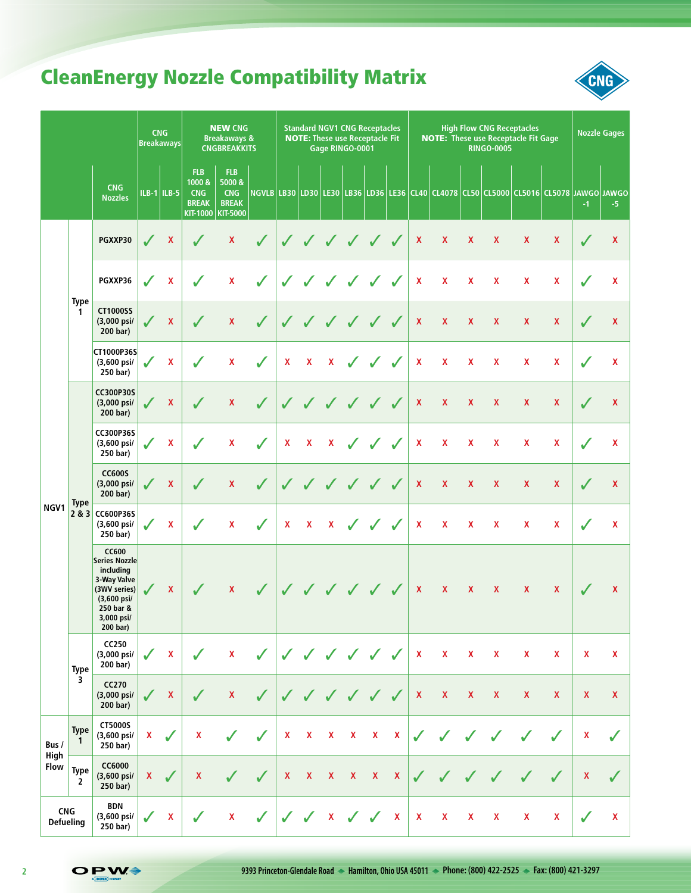# CleanEnergy Nozzle Compatibility Matrix



|                                |                                | <b>Breakaways</b>                                                                                                               | <b>CNG</b>   |                           | <b>NEW CNG</b><br><b>Breakaways &amp;</b><br><b>CNGBREAKKITS</b> |                                                                       |              | <b>Standard NGV1 CNG Receptacles</b><br><b>High Flow CNG Receptacles</b><br><b>NOTE:</b> These use Receptacle Fit Gage<br><b>NOTE: These use Receptacle Fit</b><br>Gage RINGO-0001<br><b>RINGO-0005</b> |                           |                    |                    |                           |                           | <b>Nozzle Gages</b> |                    |                           |                    |                           |                                                                                               |                    |                    |
|--------------------------------|--------------------------------|---------------------------------------------------------------------------------------------------------------------------------|--------------|---------------------------|------------------------------------------------------------------|-----------------------------------------------------------------------|--------------|---------------------------------------------------------------------------------------------------------------------------------------------------------------------------------------------------------|---------------------------|--------------------|--------------------|---------------------------|---------------------------|---------------------|--------------------|---------------------------|--------------------|---------------------------|-----------------------------------------------------------------------------------------------|--------------------|--------------------|
|                                |                                | <b>CNG</b><br><b>Nozzles</b>                                                                                                    |              | $ILB-1$   ILB-5           | <b>FLB</b><br>1000 &<br><b>CNG</b><br><b>BREAK</b><br>KIT-1000   | <b>FLB</b><br>5000 &<br><b>CNG</b><br><b>BREAK</b><br><b>KIT-5000</b> |              |                                                                                                                                                                                                         |                           |                    |                    |                           |                           |                     |                    |                           |                    |                           | <u> NGVLB LB30 LD30 LE30 LB36 LD36 LE36 CL40 CL4078 CL50 CL5000 CL5016 CL5078 JAWGO JAWGO</u> | $-1$               | -5                 |
|                                |                                | PGXXP30                                                                                                                         | $\checkmark$ | $\boldsymbol{\mathsf{X}}$ | $\sqrt{2}$                                                       | $\mathbf{x}$                                                          | $\checkmark$ | $\checkmark$                                                                                                                                                                                            | $\sqrt{2}$                | $\checkmark$       | $\sqrt{2}$         | $\checkmark$              |                           | $\pmb{\chi}$        | $\pmb{\mathsf{X}}$ | $\mathbf{x}$              | $\mathbf{x}$       | $\mathbf{x}$              | $\mathbf{x}$                                                                                  | $\checkmark$       | $\mathbf{x}$       |
|                                |                                | PGXXP36                                                                                                                         | $\checkmark$ | $\pmb{\mathsf{X}}$        | $\checkmark$                                                     | $\pmb{\mathsf{X}}$                                                    | $\checkmark$ | $\checkmark$                                                                                                                                                                                            | $\checkmark$              |                    |                    | $\checkmark$              | $\checkmark$              | $\pmb{\mathsf{X}}$  | $\mathbf{x}$       | $\mathbf{x}$              | $\mathbf{x}$       | $\mathbf x$               | $\mathbf{x}$                                                                                  |                    | $\mathbf x$        |
|                                | <b>Type</b><br>$\mathbf{1}$    | <b>CT1000SS</b><br>(3,000 psi/<br>200 bar)                                                                                      |              | $\mathbf{x}$              | $\sqrt{2}$                                                       | $\pmb{\mathsf{X}}$                                                    | $\sqrt{2}$   | $\sqrt{2}$                                                                                                                                                                                              | $\sqrt{2}$                | $\sqrt{2}$         |                    | $\checkmark$              | $\checkmark$              | $\mathbf{x}$        | $\mathbf{x}$       | $\mathbf{x}$              | $\mathbf{x}$       | X                         | X                                                                                             |                    | $\mathbf{x}$       |
|                                |                                | CT1000P36S<br>$(3,600 \text{ psi})$<br>250 bar)                                                                                 | ✔            | $\pmb{\mathsf{X}}$        |                                                                  | x                                                                     |              | X                                                                                                                                                                                                       | $\pmb{\mathsf{X}}$        | $\pmb{\mathsf{X}}$ | $\checkmark$       | $\checkmark$              | $\checkmark$              | $\mathbf{x}$        | $\mathbf{x}$       | $\mathbf{x}$              | $\mathbf{x}$       | $\mathbf x$               | $\mathbf{x}$                                                                                  |                    | $\mathbf x$        |
|                                | <b>Type</b><br>2 & 3 CC600P36S | <b>CC300P30S</b><br>(3,000 psi/<br>200 bar)                                                                                     |              | $\mathbf{x}$              |                                                                  | $\pmb{\mathsf{X}}$                                                    | $\sqrt{2}$   | $\checkmark$                                                                                                                                                                                            |                           | J                  | $\sqrt{2}$         | $\sqrt{2}$                | $\checkmark$              | $\pmb{\mathsf{X}}$  | $\mathbf{x}$       | $\mathbf{x}$              | $\mathbf{x}$       | X                         | X                                                                                             |                    | $\mathbf{x}$       |
|                                |                                | <b>CC300P36S</b><br>(3,600 psi/<br>250 bar)                                                                                     |              | $\boldsymbol{\mathsf{x}}$ | $\checkmark$                                                     | x                                                                     | $\checkmark$ | X                                                                                                                                                                                                       | $\pmb{\mathsf{X}}$        | $\mathbf{x}$       | $\checkmark$       | $\checkmark$              | J                         | $\mathbf{x}$        | $\mathbf{x}$       | $\mathbf{x}$              | $\mathbf{x}$       | X                         | $\mathbf{x}$                                                                                  |                    | $\mathbf x$        |
|                                |                                | <b>CC600S</b><br>(3,000 psi/<br>200 bar)                                                                                        | $\checkmark$ | X                         | $\sqrt{}$                                                        | X                                                                     | $\sqrt{2}$   |                                                                                                                                                                                                         |                           | $\sqrt{}$          | $\sqrt{2}$         | $\sqrt{2}$                | $\checkmark$              | $\pmb{\mathsf{X}}$  | X                  | X                         | $\mathbf{x}$       | X                         | X                                                                                             |                    | $\mathbf x$        |
| NGV1                           |                                | (3,600 psi/<br>250 bar)                                                                                                         | $\checkmark$ | $\mathbf x$               |                                                                  | x                                                                     | $\checkmark$ | X                                                                                                                                                                                                       | $\pmb{\mathsf{X}}$        | $\mathbf{x}$       | $\mathcal{J}$      | $\checkmark$              | $\checkmark$              | X                   | X                  | X                         | X                  | X                         | X                                                                                             |                    | $\mathbf x$        |
|                                |                                | <b>CC600</b><br>Series Nozzle<br>including<br>3-Way Valve<br>(3WV series)<br>(3,600 psi/<br>250 bar &<br>3,000 psi/<br>200 bar) | $\sqrt{ }$   | X                         | $\sqrt{2}$                                                       | $\mathbf{x}$                                                          | $\sqrt{2}$   |                                                                                                                                                                                                         |                           |                    |                    | J J J J J J               |                           | $\mathbf{x}$        | $\pmb{\mathsf{X}}$ | $\mathbf{x}$              | $\mathbf{x}$       | $\mathbf{x}$              | X                                                                                             | $\sqrt{2}$         | $\mathbf{x}$       |
|                                | <b>Type</b>                    | CC250<br>(3,000 psi/<br>200 bar)                                                                                                | $\checkmark$ | X                         | ✓                                                                | $\pmb{\mathsf{X}}$                                                    | $\checkmark$ | $\checkmark$                                                                                                                                                                                            | $\checkmark$              |                    | $\checkmark$       | $\checkmark$              | $\checkmark$              | $\pmb{\mathsf{X}}$  | $\pmb{\mathsf{X}}$ | $\pmb{\mathsf{X}}$        | $\pmb{\mathsf{X}}$ | $\pmb{\mathsf{X}}$        | X                                                                                             | X                  | X                  |
|                                | 3                              | <b>CC270</b><br>(3,000 psi/<br>200 bar)                                                                                         | $\sqrt{}$    | X                         | $\sqrt{2}$                                                       | $\pmb{\mathsf{X}}$                                                    | $\checkmark$ | $\checkmark$                                                                                                                                                                                            | $\checkmark$              | $\sqrt{2}$         | $\sqrt{2}$         | $\sqrt{2}$                | $\checkmark$              | $\pmb{\mathsf{X}}$  | $\pmb{\mathsf{X}}$ | $\boldsymbol{\mathsf{x}}$ | $\pmb{\mathsf{X}}$ | $\boldsymbol{\mathsf{x}}$ | X                                                                                             | X                  | $\mathbf{x}$       |
| Bus /                          | <b>Type</b><br>1               | CT5000S<br>(3,600 psi/<br>250 bar)                                                                                              | X            | ✔                         | X                                                                |                                                                       |              | X                                                                                                                                                                                                       | X                         | $\pmb{\mathsf{X}}$ | $\pmb{\mathsf{X}}$ | $\boldsymbol{\mathsf{X}}$ | $\pmb{\mathsf{X}}$        | $\checkmark$        |                    |                           |                    |                           |                                                                                               | X                  |                    |
| High<br>Flow                   | <b>Type</b><br>$\overline{2}$  | CC6000<br>(3,600 psi/<br>250 bar)                                                                                               | X            | ✓                         | X                                                                |                                                                       | ✓            | $\mathbf x$                                                                                                                                                                                             | $\boldsymbol{\mathsf{X}}$ | $\pmb{\mathsf{X}}$ | $\pmb{\mathsf{X}}$ | $\boldsymbol{\mathsf{X}}$ | $\boldsymbol{\mathsf{X}}$ | $\sqrt{2}$          | $\sqrt{2}$         |                           |                    |                           | ✓                                                                                             | $\pmb{\mathsf{X}}$ |                    |
| <b>CNG</b><br><b>Defueling</b> |                                | <b>BDN</b><br>(3,600 psi/<br>250 bar)                                                                                           | $\checkmark$ | $\pmb{\mathsf{X}}$        | $\checkmark$                                                     | $\pmb{\mathsf{X}}$                                                    | $\checkmark$ | $\checkmark$                                                                                                                                                                                            | $\checkmark$              |                    |                    | $x \sim$                  | $\mathbf{X}$              | $\mathbf{X}$        | X                  | X                         | X                  | X                         | X                                                                                             |                    | $\pmb{\mathsf{X}}$ |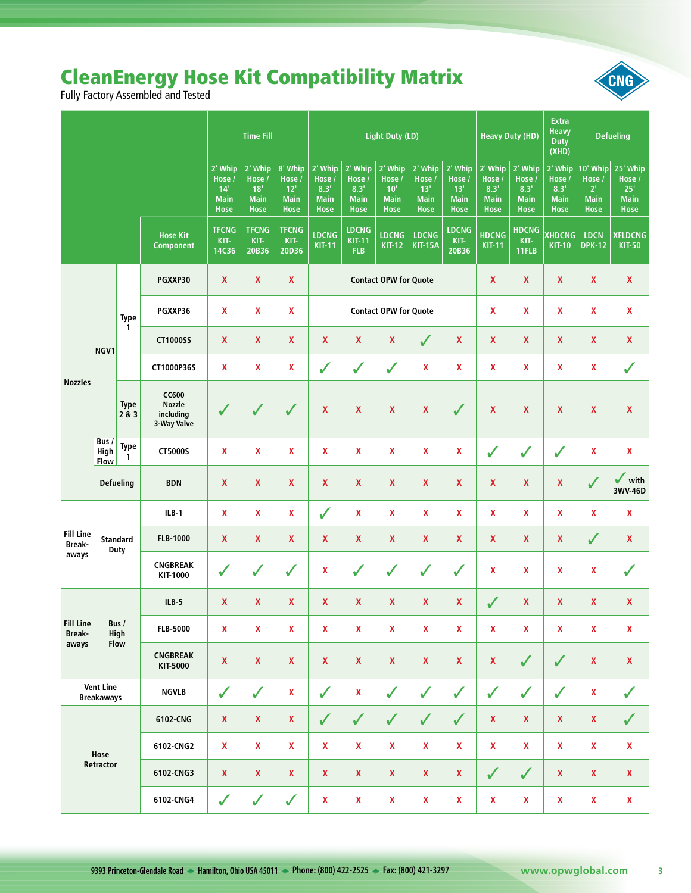# **CleanEnergy Hose Kit Compatibility Matrix**<br>Fully Factory Assembled and Tested

|                                       |                              |                             |                                                           | <b>Time Fill</b>                                         |                                                        |                                                         |                                                         | <b>Light Duty (LD)</b>                                   |                                                        |                                                          |                                                         | <b>Heavy Duty (HD)</b>                                    | <b>Defueling</b>                                        |                                                                 |                                                                     |                                 |
|---------------------------------------|------------------------------|-----------------------------|-----------------------------------------------------------|----------------------------------------------------------|--------------------------------------------------------|---------------------------------------------------------|---------------------------------------------------------|----------------------------------------------------------|--------------------------------------------------------|----------------------------------------------------------|---------------------------------------------------------|-----------------------------------------------------------|---------------------------------------------------------|-----------------------------------------------------------------|---------------------------------------------------------------------|---------------------------------|
|                                       |                              |                             | 2' Whip<br>Hose /<br>14'<br><b>Main</b><br><b>Hose</b>    | $2'$ Whip<br>Hose /<br>18'<br><b>Main</b><br><b>Hose</b> | 8' Whip<br>Hose /<br>12'<br><b>Main</b><br><b>Hose</b> | 2' Whip<br>Hose /<br>8.3'<br><b>Main</b><br><b>Hose</b> | 2' Whip<br>Hose /<br>8.3'<br><b>Main</b><br><b>Hose</b> | 2' Whip<br>Hose /<br>$10'$<br><b>Main</b><br><b>Hose</b> | 2' Whip<br>Hose /<br>13'<br><b>Main</b><br><b>Hose</b> | $2'$ Whip<br>Hose /<br>13'<br><b>Main</b><br><b>Hose</b> | 2' Whip<br>Hose /<br>8.3'<br><b>Main</b><br><b>Hose</b> | $2'$ Whip<br>Hose /<br>8.3'<br><b>Main</b><br><b>Hose</b> | 2' Whip<br>Hose /<br>8.3'<br><b>Main</b><br><b>Hose</b> | 10' Whip<br>Hose /<br>$2^{\circ}$<br><b>Main</b><br><b>Hose</b> | 25' Whip<br>Hose /<br>25 <sup>1</sup><br><b>Main</b><br><b>Hose</b> |                                 |
|                                       |                              |                             | <b>Hose Kit</b><br><b>Component</b>                       | <b>TFCNG</b><br>KIT-<br>14C36                            | <b>TFCNG</b><br>KIT-<br>20B36                          | <b>TFCNG</b><br>KIT-<br>20D36                           | <b>LDCNG</b><br><b>KIT-11</b>                           | <b>LDCNG</b><br><b>KIT-11</b><br><b>FLB</b>              | <b>LDCNG</b><br><b>KIT-12</b>                          | <b>LDCNG</b><br><b>KIT-15A</b>                           | <b>LDCNG</b><br>KIT-<br>20B36                           | <b>HDCNG</b><br><b>KIT-11</b>                             | <b>HDCNG</b><br>KIT-<br>11FLB                           | <b>XHDCNG</b><br><b>KIT-10</b>                                  | <b>LDCN</b><br><b>DPK-12</b>                                        | <b>XFLDCNG</b><br><b>KIT-50</b> |
|                                       |                              |                             | PGXXP30                                                   | $\mathbf{x}$                                             | $\pmb{\mathsf{X}}$                                     | $\mathbf{x}$                                            |                                                         | <b>Contact OPW for Quote</b><br>$\mathbf{x}$             |                                                        |                                                          |                                                         |                                                           | $\pmb{\mathsf{X}}$                                      | $\boldsymbol{\mathsf{X}}$                                       | $\pmb{\mathsf{X}}$                                                  | $\mathbf{x}$                    |
|                                       |                              | <b>Type</b>                 | PGXXP36                                                   | X                                                        | X                                                      | X                                                       |                                                         | $\mathbf{x}$<br><b>Contact OPW for Quote</b>             |                                                        |                                                          |                                                         |                                                           | $\mathbf{x}$                                            | $\mathbf{x}$                                                    | X                                                                   | X                               |
|                                       | NGV1                         | $\mathbf{1}$                | <b>CT1000SS</b>                                           | $\pmb{\mathsf{X}}$                                       | $\mathbf{x}$                                           | $\mathbf{x}$                                            | $\pmb{\mathsf{X}}$                                      | $\pmb{\mathsf{X}}$                                       | $\pmb{\mathsf{X}}$                                     | $\checkmark$                                             | $\pmb{\mathsf{X}}$                                      | $\mathbf{x}$                                              | $\mathbf{x}$                                            | $\pmb{\mathsf{X}}$                                              | $\pmb{\mathsf{X}}$                                                  | $\pmb{\mathsf{X}}$              |
|                                       |                              |                             | CT1000P36S                                                | X                                                        | X                                                      | X                                                       | $\checkmark$                                            | ✓                                                        | $\checkmark$                                           | $\pmb{\mathsf{X}}$                                       | X                                                       | X                                                         | $\mathbf{x}$                                            | $\mathbf{x}$                                                    | X                                                                   | ✓                               |
| <b>Nozzles</b>                        |                              | <b>Type</b><br>2 & 3        | <b>CC600</b><br><b>Nozzle</b><br>including<br>3-Way Valve |                                                          |                                                        | $\sqrt{2}$                                              | X                                                       | $\pmb{\mathsf{X}}$                                       | X                                                      | $\pmb{\mathsf{X}}$                                       | $\sqrt{2}$                                              | $\boldsymbol{\mathsf{X}}$                                 | $\mathbf x$                                             | $\boldsymbol{\mathsf{x}}$                                       | X                                                                   | $\pmb{\mathsf{X}}$              |
|                                       | Bus /<br>High<br><b>Flow</b> | <b>Type</b><br>$\mathbf{1}$ | CT5000S                                                   | $\mathbf{x}$                                             | $\pmb{\mathsf{X}}$                                     | X                                                       | $\mathbf{x}$                                            | X                                                        | X                                                      | $\pmb{\mathsf{X}}$                                       | $\mathbf{x}$                                            | $\checkmark$                                              | $\checkmark$                                            | $\checkmark$                                                    | X                                                                   | X                               |
|                                       |                              | <b>Defueling</b>            | <b>BDN</b>                                                | $\mathbf{x}$                                             | $\pmb{\mathsf{X}}$                                     | $\pmb{\mathsf{X}}$                                      | $\mathbf{x}$                                            | $\pmb{\mathsf{X}}$                                       | $\pmb{\mathsf{X}}$                                     | $\pmb{\mathsf{X}}$                                       | $\mathbf{x}$                                            | $\mathbf{x}$                                              | $\pmb{\mathsf{X}}$                                      | $\mathbf{x}$                                                    | $\sqrt{2}$                                                          | ✓<br>with<br>3WV-46D            |
|                                       | <b>Standard</b><br>Duty      |                             | $ILB-1$                                                   | X                                                        | X                                                      | X                                                       | $\checkmark$                                            | X                                                        | X                                                      | X                                                        | X                                                       | $\mathbf{x}$                                              | $\mathbf{x}$                                            | $\mathbf{x}$                                                    | X                                                                   | X                               |
| <b>Fill Line</b><br><b>Break-</b>     |                              |                             | <b>FLB-1000</b>                                           | X                                                        | <b>X</b>                                               | X                                                       | $\mathbf{x}$                                            | $\pmb{\mathsf{X}}$                                       | $\pmb{\mathsf{X}}$                                     | $\pmb{\mathsf{X}}$                                       | $\mathbf{x}$                                            | X                                                         | $\mathbf{x}$                                            | $\boldsymbol{\mathsf{X}}$                                       | $\checkmark$                                                        | X                               |
| aways                                 |                              |                             | <b>CNGBREAK</b><br>KIT-1000                               |                                                          | $\checkmark$                                           | $\checkmark$                                            | X                                                       | $\checkmark$                                             | $\checkmark$                                           | ✔                                                        | $\checkmark$                                            | $\boldsymbol{\mathsf{x}}$<br>$\mathbf x$<br>X             |                                                         |                                                                 | X                                                                   | ✓                               |
|                                       |                              |                             | $ILB-5$                                                   | $\mathbf{x}$                                             | X                                                      | $\mathbf{x}$                                            | $\mathbf{x}$                                            | $\pmb{\mathsf{X}}$                                       | $\pmb{\mathsf{X}}$                                     | $\pmb{\mathsf{X}}$                                       | $\mathbf{x}$                                            | $\sqrt{2}$                                                | $\mathbf{x}$                                            | $\boldsymbol{\mathsf{X}}$                                       | $\pmb{\mathsf{X}}$                                                  | $\pmb{\mathsf{X}}$              |
| <b>Fill Line</b><br><b>Break-</b>     |                              | Bus /<br>High               | <b>FLB-5000</b>                                           | $\pmb{\mathsf{X}}$                                       | $\mathbf{x}$                                           | $\boldsymbol{\mathsf{X}}$                               | X                                                       | $\mathbf{x}$                                             | $\pmb{\mathsf{X}}$                                     | $\pmb{\mathsf{X}}$                                       | X                                                       | $\pmb{\mathsf{X}}$                                        | $\pmb{\mathsf{X}}$                                      | $\pmb{\mathsf{X}}$                                              | $\pmb{\mathsf{X}}$                                                  | $\pmb{\mathsf{X}}$              |
| aways                                 | Flow                         |                             | <b>CNGBREAK</b><br>KIT-5000                               | $\mathbf{X}$                                             | $\mathbf x$                                            | $\pmb{\mathsf{X}}$                                      | $\mathbf x$                                             | $\pmb{\mathsf{X}}$                                       | $\pmb{\mathsf{X}}$                                     | $\pmb{\mathsf{X}}$                                       | $\mathbf X$                                             | $\mathbf X$                                               | $\checkmark$                                            | $\checkmark$                                                    | $\mathbf X$                                                         | $\pmb{\mathsf{X}}$              |
| <b>Vent Line</b><br><b>Breakaways</b> |                              | <b>NGVLB</b>                | $\checkmark$                                              | $\checkmark$                                             | $\pmb{\mathsf{X}}$                                     | ✓                                                       | $\pmb{\mathsf{X}}$                                      | $\checkmark$                                             | $\checkmark$                                           | $\checkmark$                                             | $\checkmark$                                            | $\checkmark$                                              | $\checkmark$                                            | $\mathbf X$                                                     | ✓                                                                   |                                 |
| Hose                                  |                              | 6102-CNG                    | $\mathbf x$                                               | $\mathbf X$                                              | $\pmb{\mathsf{X}}$                                     | $\checkmark$                                            | $\checkmark$                                            | $\checkmark$                                             | $\checkmark$                                           | $\checkmark$                                             | $\pmb{\mathsf{X}}$                                      | $\pmb{\mathsf{X}}$                                        | $\pmb{\mathsf{X}}$                                      | $\pmb{\mathsf{X}}$                                              | ✓                                                                   |                                 |
|                                       |                              |                             | 6102-CNG2                                                 | $\mathbf{x}$                                             | $\mathbf{x}$                                           | $\mathbf{x}$                                            | $\pmb{\mathsf{X}}$                                      | $\pmb{\mathsf{X}}$                                       | $\pmb{\mathsf{X}}$                                     | $\pmb{\mathsf{X}}$                                       | $\mathbf{x}$                                            | $\pmb{\mathsf{X}}$                                        | $\mathbf{x}$                                            | $\pmb{\mathsf{X}}$                                              | $\mathbf X$                                                         | $\pmb{\mathsf{X}}$              |
|                                       | Retractor                    |                             | 6102-CNG3                                                 | $\mathbf X$                                              | $\mathbf x$                                            | $\mathbf{X}$                                            | $\mathbf x$                                             | $\pmb{\mathsf{X}}$                                       | $\pmb{\mathsf{X}}$                                     | $\pmb{\mathsf{X}}$                                       | $\pmb{\mathsf{X}}$                                      | $\checkmark$                                              | $\checkmark$                                            | $\boldsymbol{\mathsf{X}}$                                       | $\mathbf{x}$                                                        | $\pmb{\mathsf{X}}$              |
|                                       |                              | 6102-CNG4                   | $\checkmark$                                              | $\checkmark$                                             | $\checkmark$                                           | X                                                       | $\pmb{\mathsf{X}}$                                      | $\pmb{\mathsf{X}}$                                       | $\pmb{\mathsf{X}}$                                     | $\mathbf x$                                              | $\pmb{\mathsf{X}}$                                      | $\pmb{\mathsf{X}}$                                        | $\pmb{\mathsf{X}}$                                      | $\boldsymbol{\mathsf{X}}$                                       | $\pmb{\mathsf{X}}$                                                  |                                 |

 $\overline{\mathbf{3}}$ 

CNG